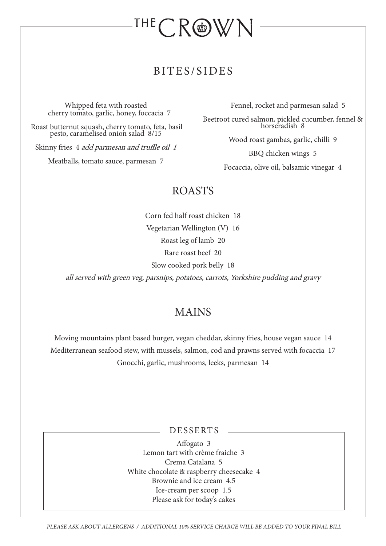# THE CROWN

#### BITES/SIDES

Whipped feta with roasted cherry tomato, garlic, honey, foccacia 7

Roast butternut squash, cherry tomato, feta, basil pesto, caramelised onion salad 8/15

Skinny fries 4 *add parmesan and truffle oil 1* 

Meatballs, tomato sauce, parmesan 7

Fennel, rocket and parmesan salad 5

Beetroot cured salmon, pickled cucumber, fennel & horseradish 8

Wood roast gambas, garlic, chilli 9

BBQ chicken wings 5

Focaccia, olive oil, balsamic vinegar 4

### ROASTS

Corn fed half roast chicken 18 Vegetarian Wellington (V) 16 Roast leg of lamb 20 Rare roast beef 20 Slow cooked pork belly 18

all served with green veg, parsnips, potatoes, carrots, Yorkshire pudding and gravy

### MAINS

Moving mountains plant based burger, vegan cheddar, skinny fries, house vegan sauce 14 Mediterranean seafood stew, with mussels, salmon, cod and prawns served with focaccia 17 Gnocchi, garlic, mushrooms, leeks, parmesan 14

DESSERTS

Affogato 3 Lemon tart with crème fraiche 3 Crema Catalana 5 White chocolate & raspberry cheesecake 4 Brownie and ice cream 4.5 Ice-cream per scoop 1.5 Please ask for today's cakes